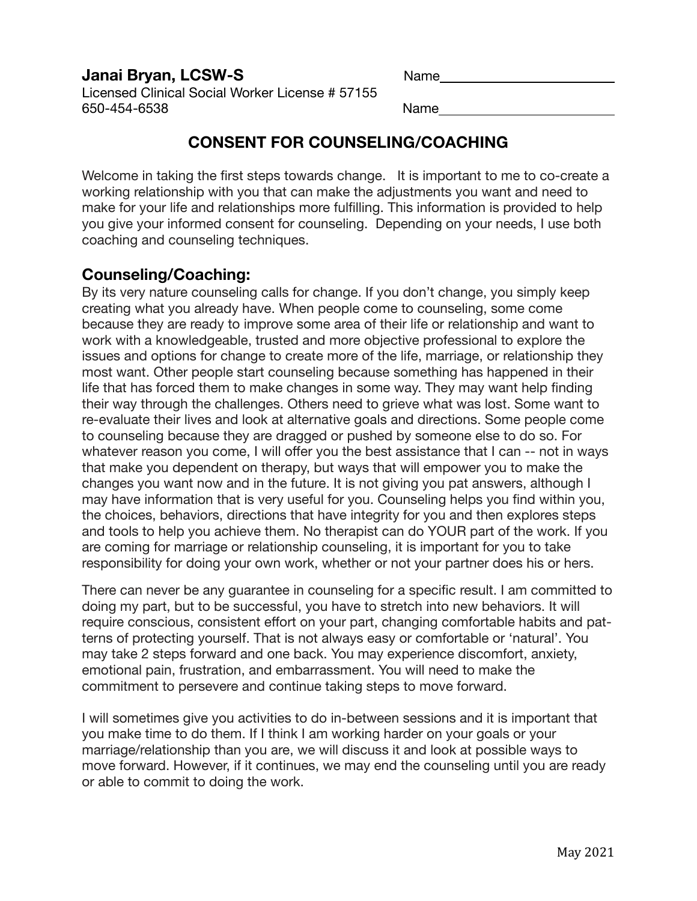### **Janai Bryan, LCSW-S** Name Name

Licensed Clinical Social Worker License # 57155 650-454-6538 Name 

# **CONSENT FOR COUNSELING/COACHING**

Welcome in taking the first steps towards change. It is important to me to co-create a working relationship with you that can make the adjustments you want and need to make for your life and relationships more fulfilling. This information is provided to help you give your informed consent for counseling. Depending on your needs, I use both coaching and counseling techniques.

### **Counseling/Coaching:**

By its very nature counseling calls for change. If you don't change, you simply keep creating what you already have. When people come to counseling, some come because they are ready to improve some area of their life or relationship and want to work with a knowledgeable, trusted and more objective professional to explore the issues and options for change to create more of the life, marriage, or relationship they most want. Other people start counseling because something has happened in their life that has forced them to make changes in some way. They may want help finding their way through the challenges. Others need to grieve what was lost. Some want to re-evaluate their lives and look at alternative goals and directions. Some people come to counseling because they are dragged or pushed by someone else to do so. For whatever reason you come, I will offer you the best assistance that I can -- not in ways that make you dependent on therapy, but ways that will empower you to make the changes you want now and in the future. It is not giving you pat answers, although I may have information that is very useful for you. Counseling helps you find within you, the choices, behaviors, directions that have integrity for you and then explores steps and tools to help you achieve them. No therapist can do YOUR part of the work. If you are coming for marriage or relationship counseling, it is important for you to take responsibility for doing your own work, whether or not your partner does his or hers.

There can never be any guarantee in counseling for a specific result. I am committed to doing my part, but to be successful, you have to stretch into new behaviors. It will require conscious, consistent effort on your part, changing comfortable habits and patterns of protecting yourself. That is not always easy or comfortable or 'natural'. You may take 2 steps forward and one back. You may experience discomfort, anxiety, emotional pain, frustration, and embarrassment. You will need to make the commitment to persevere and continue taking steps to move forward.

I will sometimes give you activities to do in-between sessions and it is important that you make time to do them. If I think I am working harder on your goals or your marriage/relationship than you are, we will discuss it and look at possible ways to move forward. However, if it continues, we may end the counseling until you are ready or able to commit to doing the work.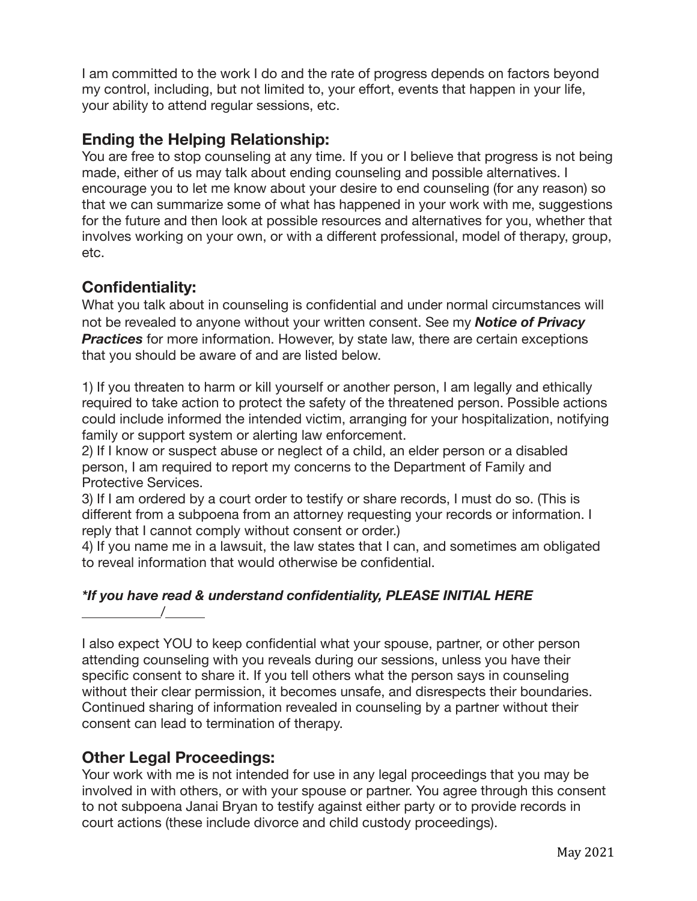I am committed to the work I do and the rate of progress depends on factors beyond my control, including, but not limited to, your effort, events that happen in your life, your ability to attend regular sessions, etc.

# **Ending the Helping Relationship:**

You are free to stop counseling at any time. If you or I believe that progress is not being made, either of us may talk about ending counseling and possible alternatives. I encourage you to let me know about your desire to end counseling (for any reason) so that we can summarize some of what has happened in your work with me, suggestions for the future and then look at possible resources and alternatives for you, whether that involves working on your own, or with a different professional, model of therapy, group, etc.

# **Confidentiality:**

What you talk about in counseling is confidential and under normal circumstances will not be revealed to anyone without your written consent. See my *Notice of Privacy*  **Practices** for more information. However, by state law, there are certain exceptions that you should be aware of and are listed below.

1) If you threaten to harm or kill yourself or another person, I am legally and ethically required to take action to protect the safety of the threatened person. Possible actions could include informed the intended victim, arranging for your hospitalization, notifying family or support system or alerting law enforcement.

2) If I know or suspect abuse or neglect of a child, an elder person or a disabled person, I am required to report my concerns to the Department of Family and Protective Services.

3) If I am ordered by a court order to testify or share records, I must do so. (This is different from a subpoena from an attorney requesting your records or information. I reply that I cannot comply without consent or order.)

4) If you name me in a lawsuit, the law states that I can, and sometimes am obligated to reveal information that would otherwise be confidential.

#### *\*If you have read & understand confidentiality, PLEASE INITIAL HERE*   $\frac{1}{\sqrt{1-\frac{1}{2}}}\frac{1}{\sqrt{1-\frac{1}{2}}\left(1-\frac{1}{2}\right)}$

I also expect YOU to keep confidential what your spouse, partner, or other person attending counseling with you reveals during our sessions, unless you have their specific consent to share it. If you tell others what the person says in counseling without their clear permission, it becomes unsafe, and disrespects their boundaries. Continued sharing of information revealed in counseling by a partner without their consent can lead to termination of therapy.

# **Other Legal Proceedings:**

Your work with me is not intended for use in any legal proceedings that you may be involved in with others, or with your spouse or partner. You agree through this consent to not subpoena Janai Bryan to testify against either party or to provide records in court actions (these include divorce and child custody proceedings).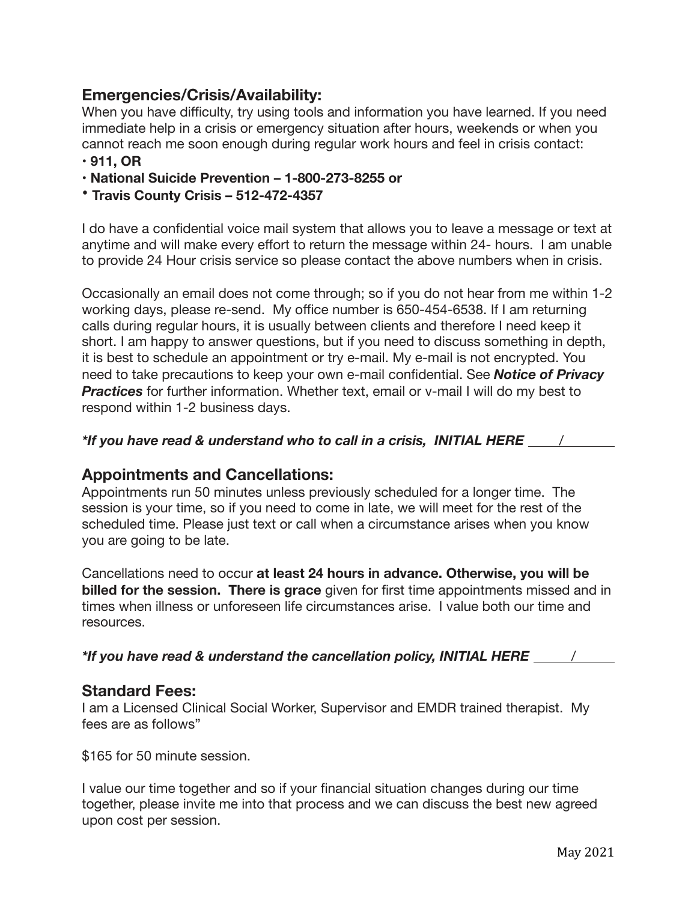# **Emergencies/Crisis/Availability:**

When you have difficulty, try using tools and information you have learned. If you need immediate help in a crisis or emergency situation after hours, weekends or when you cannot reach me soon enough during regular work hours and feel in crisis contact:

#### **• 911, OR**

- **• National Suicide Prevention 1-800-273-8255 or**
- **Travis County Crisis 512-472-4357**

I do have a confidential voice mail system that allows you to leave a message or text at anytime and will make every effort to return the message within 24- hours. I am unable to provide 24 Hour crisis service so please contact the above numbers when in crisis.

Occasionally an email does not come through; so if you do not hear from me within 1-2 working days, please re-send. My office number is 650-454-6538. If I am returning calls during regular hours, it is usually between clients and therefore I need keep it short. I am happy to answer questions, but if you need to discuss something in depth, it is best to schedule an appointment or try e-mail. My e-mail is not encrypted. You need to take precautions to keep your own e-mail confidential. See *Notice of Privacy*  **Practices** for further information. Whether text, email or v-mail I will do my best to respond within 1-2 business days.

### *\*If you have read & understand who to call in a crisis, INITIAL HERE* /

### **Appointments and Cancellations:**

Appointments run 50 minutes unless previously scheduled for a longer time. The session is your time, so if you need to come in late, we will meet for the rest of the scheduled time. Please just text or call when a circumstance arises when you know you are going to be late.

Cancellations need to occur **at least 24 hours in advance. Otherwise, you will be billed for the session. There is grace** given for first time appointments missed and in times when illness or unforeseen life circumstances arise. I value both our time and resources.

*\*If you have read & understand the cancellation policy, INITIAL HERE \_\_\_\_ /* 

#### **Standard Fees:**

I am a Licensed Clinical Social Worker, Supervisor and EMDR trained therapist. My fees are as follows"

\$165 for 50 minute session.

I value our time together and so if your financial situation changes during our time together, please invite me into that process and we can discuss the best new agreed upon cost per session.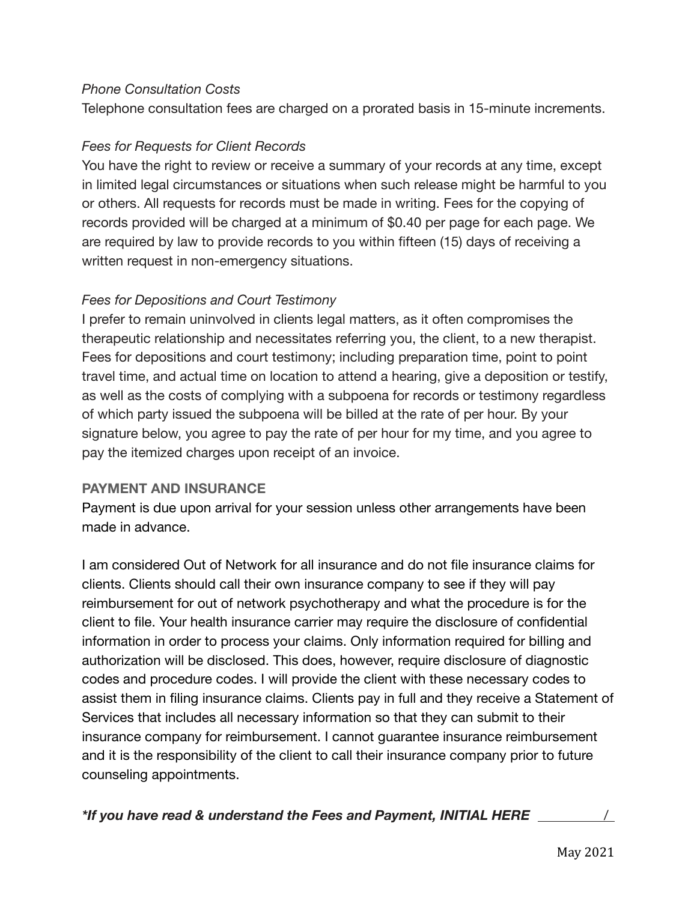#### *Phone Consultation Costs*

Telephone consultation fees are charged on a prorated basis in 15-minute increments.

### *Fees for Requests for Client Records*

You have the right to review or receive a summary of your records at any time, except in limited legal circumstances or situations when such release might be harmful to you or others. All requests for records must be made in writing. Fees for the copying of records provided will be charged at a minimum of \$0.40 per page for each page. We are required by law to provide records to you within fifteen (15) days of receiving a written request in non-emergency situations.

### *Fees for Depositions and Court Testimony*

I prefer to remain uninvolved in clients legal matters, as it often compromises the therapeutic relationship and necessitates referring you, the client, to a new therapist. Fees for depositions and court testimony; including preparation time, point to point travel time, and actual time on location to attend a hearing, give a deposition or testify, as well as the costs of complying with a subpoena for records or testimony regardless of which party issued the subpoena will be billed at the rate of per hour. By your signature below, you agree to pay the rate of per hour for my time, and you agree to pay the itemized charges upon receipt of an invoice.

#### **PAYMENT AND INSURANCE**

Payment is due upon arrival for your session unless other arrangements have been made in advance.

I am considered Out of Network for all insurance and do not file insurance claims for clients. Clients should call their own insurance company to see if they will pay reimbursement for out of network psychotherapy and what the procedure is for the client to file. Your health insurance carrier may require the disclosure of confidential information in order to process your claims. Only information required for billing and authorization will be disclosed. This does, however, require disclosure of diagnostic codes and procedure codes. I will provide the client with these necessary codes to assist them in filing insurance claims. Clients pay in full and they receive a Statement of Services that includes all necessary information so that they can submit to their insurance company for reimbursement. I cannot guarantee insurance reimbursement and it is the responsibility of the client to call their insurance company prior to future counseling appointments.

*\*If you have read & understand the Fees and Payment, INITIAL HERE* /